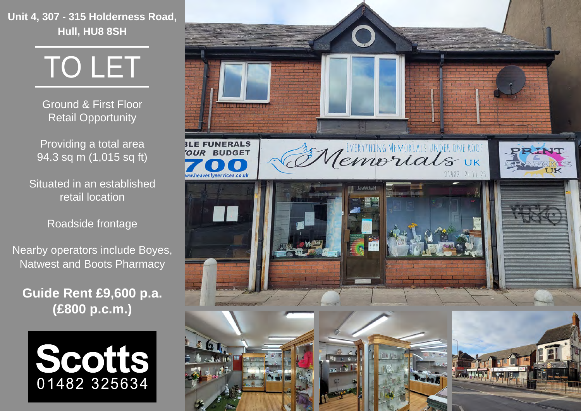**Unit 4, 307 - 315 Holderness Road, Hull, HU8 8SH**

TO LET

Ground & First Floor Retail Opportunity

Providing a total area 94.3 sq m (1,015 sq ft)

Situated in an established retail location

Roadside frontage

Nearby operators include Boyes, Natwest and Boots Pharmacy

**Guide Rent £9,600 p.a. (£800 p.c.m.)**